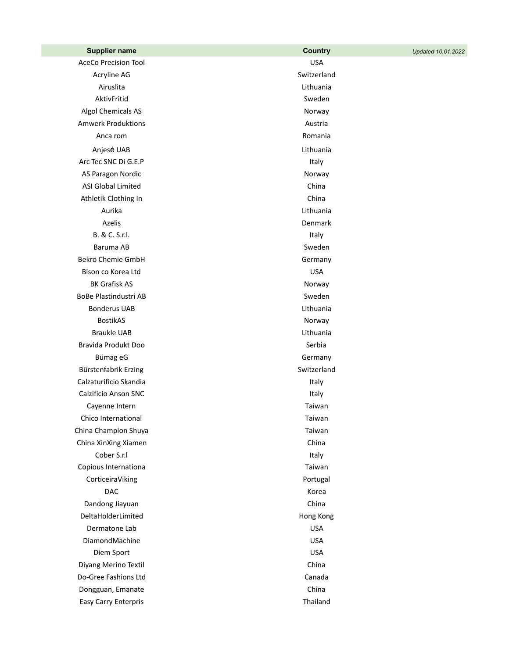| <b>Supplier name</b>        | <b>Country</b>  | Updated 10.01.2022 |
|-----------------------------|-----------------|--------------------|
| <b>AceCo Precision Tool</b> | <b>USA</b>      |                    |
| Acryline AG                 | Switzerland     |                    |
| Airuslita                   | Lithuania       |                    |
| AktivFritid                 | Sweden          |                    |
| Algol Chemicals AS          | Norway          |                    |
| <b>Amwerk Produktions</b>   | Austria         |                    |
| Anca rom                    | Romania         |                    |
| Anjesė UAB                  | Lithuania       |                    |
| Arc Tec SNC Di G.E.P        | Italy           |                    |
| AS Paragon Nordic           | Norway          |                    |
| <b>ASI Global Limited</b>   | China           |                    |
| Athletik Clothing In        | China           |                    |
| Aurika                      | Lithuania       |                    |
| Azelis                      | Denmark         |                    |
| B. & C. S.r.l.              | Italy           |                    |
| Baruma AB                   | Sweden          |                    |
| <b>Bekro Chemie GmbH</b>    | Germany         |                    |
| Bison co Korea Ltd          | <b>USA</b>      |                    |
| <b>BK Grafisk AS</b>        | Norway          |                    |
| BoBe Plastindustri AB       | Sweden          |                    |
| <b>Bonderus UAB</b>         | Lithuania       |                    |
| <b>BostikAS</b>             | Norway          |                    |
| <b>Braukle UAB</b>          | Lithuania       |                    |
| Bravida Produkt Doo         | Serbia          |                    |
| Bümag eG                    | Germany         |                    |
| Bürstenfabrik Erzing        | Switzerland     |                    |
| Calzaturificio Skandia      | Italy           |                    |
| Calzificio Anson SNC        | Italy           |                    |
| Cayenne Intern              | Taiwan          |                    |
| Chico International         | Taiwan          |                    |
| China Champion Shuya        | Taiwan          |                    |
| China XinXing Xiamen        | China           |                    |
| Cober S.r.I                 | Italy           |                    |
| Copious Internationa        | Taiwan          |                    |
| CorticeiraViking            | Portugal        |                    |
| <b>DAC</b>                  | Korea           |                    |
| Dandong Jiayuan             | China           |                    |
| DeltaHolderLimited          | Hong Kong       |                    |
| Dermatone Lab               | <b>USA</b>      |                    |
| DiamondMachine              | <b>USA</b>      |                    |
| Diem Sport                  | <b>USA</b>      |                    |
| Diyang Merino Textil        | China           |                    |
| Do-Gree Fashions Ltd        | Canada<br>China |                    |
| Dongguan, Emanate           | Thailand        |                    |
| Easy Carry Enterpris        |                 |                    |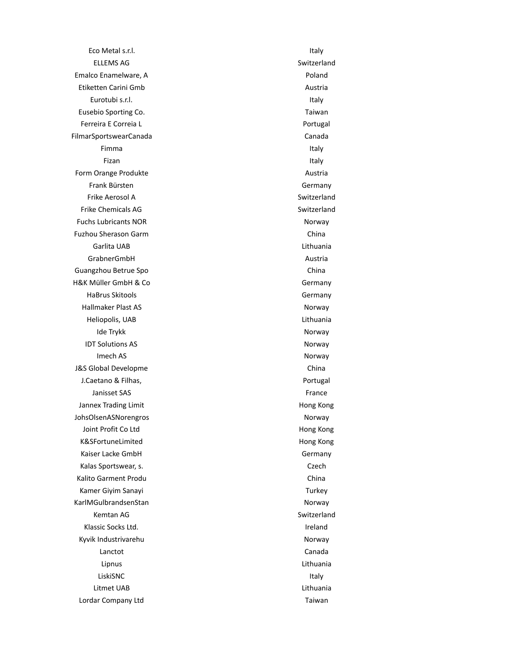Eco Metal s.r.l. **Italy** ELLEMS AG Switzerland Emalco Enamelware, A Poland Etiketten Carini Gmb **Austria** Austria Eurotubi s.r.l. **Italy** Eusebio Sporting Co. **Taiwan** Ferreira E Correia L<br>
Portugal FilmarSportswearCanada Canada Canada Canada Fimma and the state of the state of the state of the state of the state of the state of the state of the state Fizan Italy and the contract of the contract of the contract of the contract of the contract of the contract of Form Orange Produkte Austria Frank Bürsten Germany Frike Aerosol A Switzerland Frike Chemicals AG Switzerland **Fuchs Lubricants NOR Norway** Fuzhou Sherason Garm **China** Garlita UAB Lithuania GrabnerGmbH Austria Guangzhou Betrue Spo China H&K Müller GmbH & Co Germany HaBrus Skitools **Germany** Hallmaker Plast AS Norway Heliopolis, UAB Lithuania Ide Trykk Norway IDT Solutions AS Norway Imech AS Norway J&S Global Developme China J.Caetano & Filhas, **Portugal** Janisset SAS France Jannex Trading Limit **Hong Kong** Congress of the Hong Kong JohsOlsenASNorengros Norway Joint Profit Co Ltd **Hong Kong** K&SFortuneLimited Hong Kong Kaiser Lacke GmbH Germany Kalas Sportswear, s. Czech Czech Czech Czech Czech Czech Czech Czech Czech Czech Czech Czech Czech Czech Czech Kalito Garment Produ **China** Kamer Giyim Sanayi Turkey KarlMGulbrandsenStan Norway Kemtan AG Switzerland Klassic Socks Ltd. **International Contract Contract Contract Contract Contract Contract Contract Contract Contract Contract Contract Contract Contract Contract Contract Contract Contract Contract Contract Contract Contract** Kyvik Industrivarehu Norway Lanctot Canada Lipnus Lithuania LiskiSNC **Internal and Italy** in the United States of the United States of the United States of the United States Litmet UAB Lithuania Lordar Company Ltd Taiwan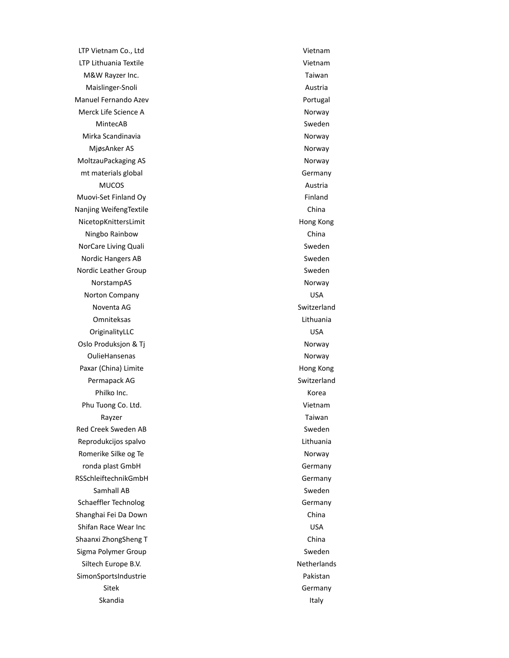LTP Vietnam Co., Ltd Vietnam LTP Lithuania Textile Vietnam M&W Rayzer Inc. Taiwan Maislinger-Snoli **Austria** Manuel Fernando Azev **Portugal** Merck Life Science A Norway MintecAB Sweden Mirka Scandinavia **Norway** Norway MjøsAnker AS Norway MoltzauPackaging AS Norway mt materials global and the control of the Germany MUCOS Austria Muovi-Set Finland Oy **Finland** Nanjing WeifengTextile China China NicetopKnittersLimit **Hong Kong** Ningbo Rainbow China NorCare Living Quali **Sweden** Sweden Nordic Hangers AB Sweden and Sweden and Sweden and Sweden and Sweden and Sweden and Sweden and Sweden and Sweden Nordic Leather Group Sweden NorstampAS Norway Norton Company USA Noventa AG Switzerland Omniteksas Lithuania OriginalityLLC USA Oslo Produksjon & Tj OulieHansenas Norway Paxar (China) Limite **Hong Kong** China) Hong Kong Permapack AG Switzerland Philko Inc. **Korea** Phu Tuong Co. Ltd. **Vietnam** Rayzer **National Community Community** Rayang Taiwan Red Creek Sweden AB Sweden AB Sweden Sweden Sweden Sweden Sweden Sweden Sweden Sweden Sweden Sweden Sweden Sweden Reprodukcijos spalvo **Lithuania** Romerike Silke og Te ronda plast GmbH Germany RSSchleiftechnikGmbH Germany Samhall AB Sweden Schaeffler Technolog Germany Shanghai Fei Da Down China Shifan Race Wear Inc **USA** Shaanxi ZhongSheng T China Sigma Polymer Group Sweden Sweden Sweden Sweden Sweden Sweden Sweden Sweden Sweden Sweden Sweden Sweden Sweden Siltech Europe B.V. Netherlands SimonSportsIndustrie et al. 2016 and 2017 and 2018 and 2019 and 2019 and 2019 and 2019 and 2019 and 2019 and 20 Sitek Germany

Skandia in a strong structure in the second structure in the second structure in the second structure in the s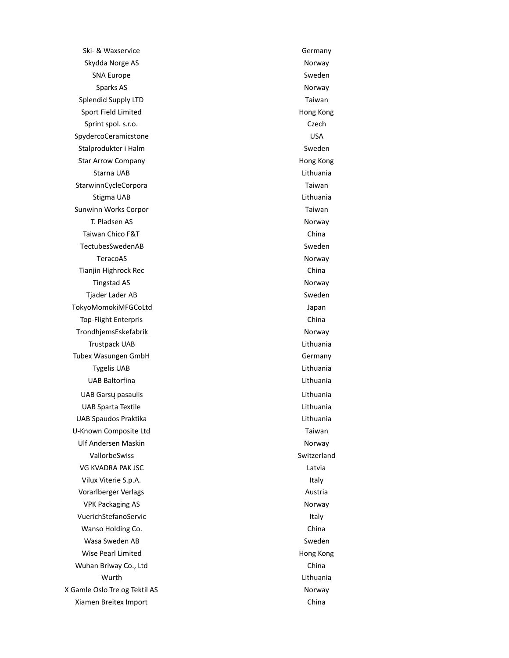Ski- & Waxservice Germany Skydda Norge AS Norway SNA Europe SNA Europe Sweden Sparks AS Norway Splendid Supply LTD **Taiwan** Sport Field Limited **Hong Kong** Sprint spol. s.r.o. Czech Czech Czech Czech Czech Czech Czech Czech Czech Czech Czech Czech Czech Czech Czech Czech Czech Czech Czech Czech Czech Czech Czech Czech Czech Czech Czech Czech Czech Czech Czech Czech Czech Czec SpydercoCeramicstone USA Stalprodukter i Halm Sweden National Annual Sweden Sweden Sweden Sweden Sweden Sweden Sweden Sweden Sweden Sweden Star Arrow Company **Hong Kong Company Hong Kong** Starna UAB Lithuania StarwinnCycleCorpora **Taiwan** Stigma UAB **Lithuania** Sunwinn Works Corpor National Communication of Taiwan T. Pladsen AS Norway Taiwan Chico F&T China TectubesSwedenAB Sweden TeracoAS Norway Tianjin Highrock Rec China Tingstad AS Norway Tjader Lader AB Sweden and Sweden and Sweden and Sweden and Sweden and Sweden and Sweden and Sweden and Sweden TokyoMomokiMFGCoLtd Japan Top-Flight Enterpris China TrondhjemsEskefabrik Norway Trustpack UAB Lithuania Tubex Wasungen GmbH Germany Tygelis UAB Lithuania UAB Baltorfina Lithuania UAB Gars ų pasaulis Lithuania UAB Sparta Textile Lithuania UAB Spaudos Praktika Lithuania U-Known Composite Ltd Taiwan Ulf Andersen Maskin Norway Norway VallorbeSwiss Switzerland VG KVADRA PAK JSC **Latvia** Vilux Viterie S.p.A. **Italy** Vorarlberger Verlags **Austria** Austria VPK Packaging AS Norway VuerichStefanoServic in the extension of the United Stefan Service in the United Stefan Stefan Stefan Stefan S Wanso Holding Co. **China** Wasa Sweden AB Sweden Controller and the Sweden Sweden Sweden Sweden Sweden Sweden Sweden Sweden Sweden Sweden Wise Pearl Limited **Hong Kong** Wuhan Briway Co., Ltd **China** Wurth Lithuania X Gamle Oslo Tre og Tektil AS Norway Xiamen Breitex Import China